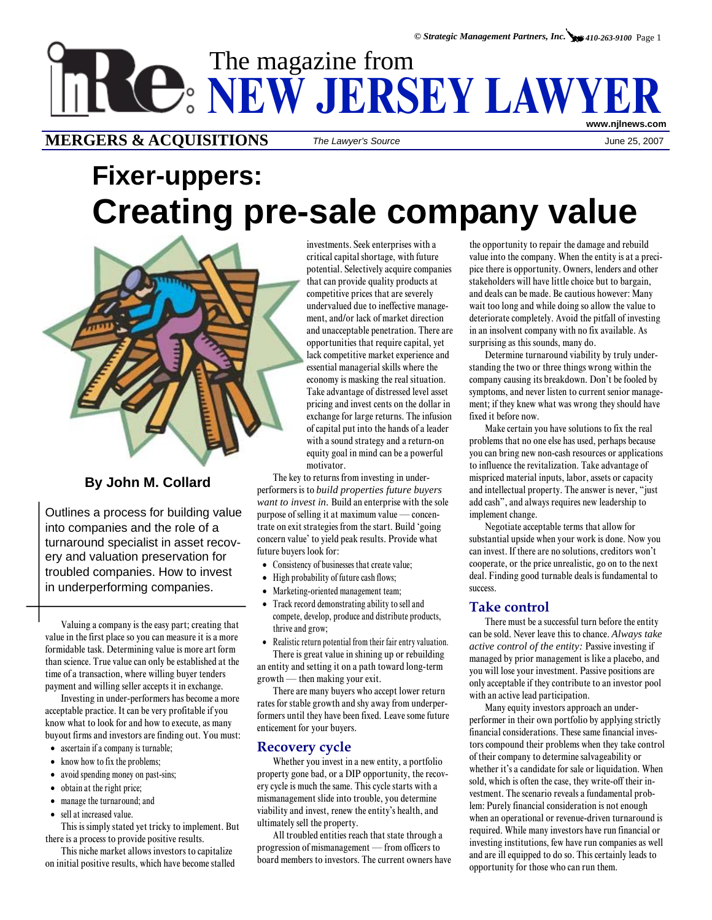# The magazine from **NEW JERSEY LAWYER www.njlnews.com**

## **MERGERS & ACQUISITIONS** *The Lawyer's Source* June 25, 2007

# **Fixer-uppers: Creating pre-sale company value**



## **By John M. Collard**

Outlines a process for building value into companies and the role of a turnaround specialist in asset recovery and valuation preservation for troubled companies. How to invest in underperforming companies.

Valuing a company is the easy part; creating that value in the first place so you can measure it is a more formidable task. Determining value is more art form than science. True value can only be established at the time of a transaction, where willing buyer tenders payment and willing seller accepts it in exchange.

Investing in under-performers has become a more acceptable practice. It can be very profitable if you know what to look for and how to execute, as many buyout firms and investors are finding out. You must:

- ascertain if a company is turnable;
- know how to fix the problems;
- avoid spending money on past-sins;
- obtain at the right price;
- manage the turnaround; and
- sell at increased value.

This is simply stated yet tricky to implement. But there is a process to provide positive results.

This niche market allows investors to capitalize on initial positive results, which have become stalled motivator. investments. Seek enterprises with a critical capital shortage, with future potential. Selectively acquire companies that can provide quality products at competitive prices that are severely undervalued due to ineffective management, and/or lack of market direction and unacceptable penetration. There are opportunities that require capital, yet lack competitive market experience and essential managerial skills where the economy is masking the real situation. Take advantage of distressed level asset pricing and invest cents on the dollar in exchange for large returns. The infusion of capital put into the hands of a leader with a sound strategy and a return-on equity goal in mind can be a powerful

The key to returns from investing in underperformers is to *build properties future buyers want to invest in*. Build an enterprise with the sole purpose of selling it at maximum value — concentrate on exit strategies from the start. Build 'going concern value' to yield peak results. Provide what future buyers look for:

- Consistency of businesses that create value;
- High probability of future cash flows;
- Marketing-oriented management team;
- Track record demonstrating ability to sell and compete, develop, produce and distribute products, thrive and grow;
- Realistic return potential from their fair entry valuation.

There is great value in shining up or rebuilding an entity and setting it on a path toward long-term growth — then making your exit.

There are many buyers who accept lower return rates for stable growth and shy away from underperformers until they have been fixed. Leave some future enticement for your buyers.

#### **Recovery cycle**

Whether you invest in a new entity, a portfolio property gone bad, or a DIP opportunity, the recovery cycle is much the same. This cycle starts with a mismanagement slide into trouble, you determine viability and invest, renew the entity's health, and ultimately sell the property.

All troubled entities reach that state through a progression of mismanagement — from officers to board members to investors. The current owners have

the opportunity to repair the damage and rebuild value into the company. When the entity is at a precipice there is opportunity. Owners, lenders and other stakeholders will have little choice but to bargain, and deals can be made. Be cautious however: Many wait too long and while doing so allow the value to deteriorate completely. Avoid the pitfall of investing in an insolvent company with no fix available. As surprising as this sounds, many do.

Determine turnaround viability by truly understanding the two or three things wrong within the company causing its breakdown. Don't be fooled by symptoms, and never listen to current senior management; if they knew what was wrong they should have fixed it before now.

Make certain you have solutions to fix the real problems that no one else has used, perhaps because you can bring new non-cash resources or applications to influence the revitalization. Take advantage of mispriced material inputs, labor, assets or capacity and intellectual property. The answer is never, "just add cash", and always requires new leadership to implement change.

Negotiate acceptable terms that allow for substantial upside when your work is done. Now you can invest. If there are no solutions, creditors won't cooperate, or the price unrealistic, go on to the next deal. Finding good turnable deals is fundamental to success.

### **Take control**

There must be a successful turn before the entity can be sold. Never leave this to chance. *Always take active control of the entity:* Passive investing if managed by prior management is like a placebo, and you will lose your investment. Passive positions are only acceptable if they contribute to an investor pool with an active lead participation.

Many equity investors approach an underperformer in their own portfolio by applying strictly financial considerations. These same financial investors compound their problems when they take control of their company to determine salvageability or whether it's a candidate for sale or liquidation. When sold, which is often the case, they write-off their investment. The scenario reveals a fundamental problem: Purely financial consideration is not enough when an operational or revenue-driven turnaround is required. While many investors have run financial or investing institutions, few have run companies as well and are ill equipped to do so. This certainly leads to opportunity for those who can run them.